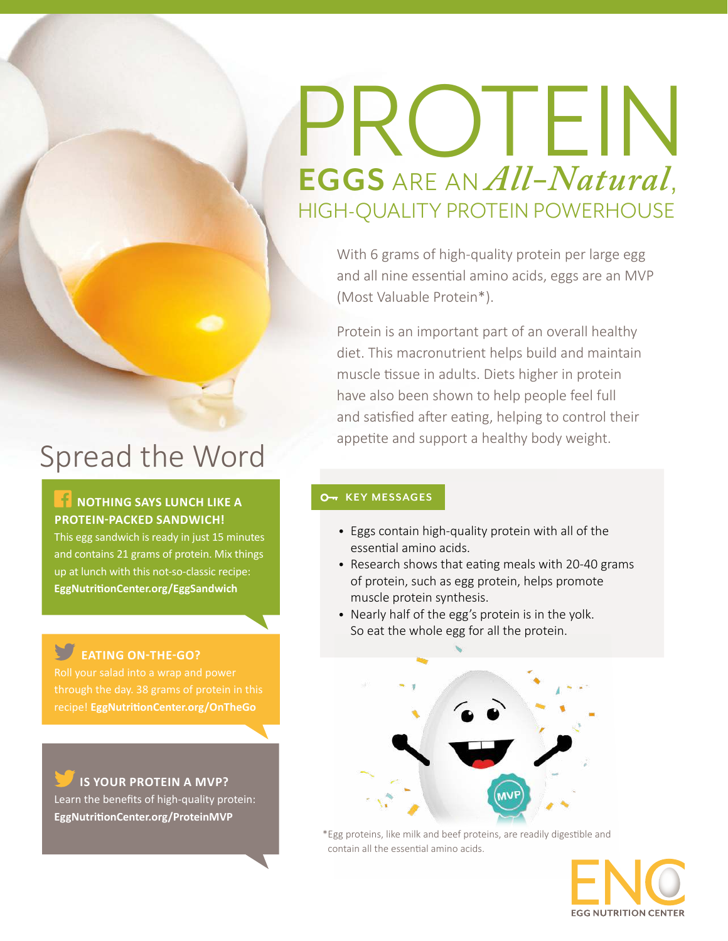# PROTEIN **EGGS** ARE AN *All-Natural*, HIGH-QUALITY PROTEIN POWERHOUSE

With 6 grams of high-quality protein per large egg and all nine essential amino acids, eggs are an MVP (Most Valuable Protein\*).

Protein is an important part of an overall healthy diet. This macronutrient helps build and maintain muscle tissue in adults. Diets higher in protein have also been shown to help people feel full and satisfied after eating, helping to control their appetite and support a healthy body weight.

# Spread the Word

#### **NOTHING SAYS LUNCH LIKE A PROTEIN-PACKED SANDWICH!**

This egg sandwich is ready in just 15 minutes and contains 21 grams of protein. Mix things up at lunch with this not-so-classic recipe: **[EggNutritionCenter.org/E](http://EggNutritionCenter.org/EggSandwich)ggSandwich**

### **EATING ON-THE-GO?**

recipe! **[EggNutritionCenter.org/](http://EggNutritionCenter.org/OnTheGo)OnTheGo**

#### **IS YOUR PROTEIN A MVP?**

Learn the benefits of high-quality protein: **[EggNutritionCenter.org/ProteinMVP](http://EggNutritionCenter.org/ProteinMVP)**

#### **O<sub>T</sub>** KEY MESSAGES

- Eggs contain high-quality protein with all of the essential amino acids.
- Research shows that eating meals with 20-40 grams of protein, such as egg protein, helps promote muscle protein synthesis.
- Nearly half of the egg's protein is in the yolk. So eat the whole egg for all the protein.



\* Egg proteins, like milk and beef proteins, are readily digestible and contain all the essential amino acids.